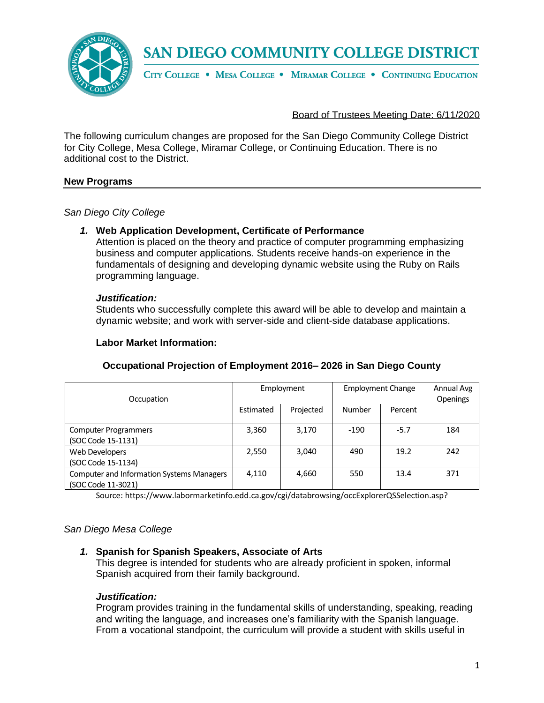

CITY COLLEGE . MESA COLLEGE . MIRAMAR COLLEGE . CONTINUING EDUCATION

Board of Trustees Meeting Date: 6/11/2020

The following curriculum changes are proposed for the San Diego Community College District for City College, Mesa College, Miramar College, or Continuing Education. There is no additional cost to the District.

# **New Programs**

*San Diego City College*

# *1.* **Web Application Development, Certificate of Performance**

Attention is placed on the theory and practice of computer programming emphasizing business and computer applications. Students receive hands-on experience in the fundamentals of designing and developing dynamic website using the Ruby on Rails programming language.

# *Justification:*

Students who successfully complete this award will be able to develop and maintain a dynamic website; and work with server-side and client-side database applications.

## **Labor Market Information:**

| Occupation                                                             |           | Employment | <b>Employment Change</b> |         | Annual Avg<br>Openings |
|------------------------------------------------------------------------|-----------|------------|--------------------------|---------|------------------------|
|                                                                        | Estimated | Projected  | Number                   | Percent |                        |
| <b>Computer Programmers</b><br>(SOC Code 15-1131)                      | 3,360     | 3,170      | $-190$                   | $-5.7$  | 184                    |
| Web Developers<br>(SOC Code 15-1134)                                   | 2,550     | 3,040      | 490                      | 19.2    | 242                    |
| <b>Computer and Information Systems Managers</b><br>(SOC Code 11-3021) | 4,110     | 4,660      | 550                      | 13.4    | 371                    |

# **Occupational Projection of Employment 2016– 2026 in San Diego County**

Source: https://www.labormarketinfo.edd.ca.gov/cgi/databrowsing/occExplorerQSSelection.asp?

# *San Diego Mesa College*

# *1.* **Spanish for Spanish Speakers, Associate of Arts**

This degree is intended for students who are already proficient in spoken, informal Spanish acquired from their family background.

# *Justification:*

Program provides training in the fundamental skills of understanding, speaking, reading and writing the language, and increases one's familiarity with the Spanish language. From a vocational standpoint, the curriculum will provide a student with skills useful in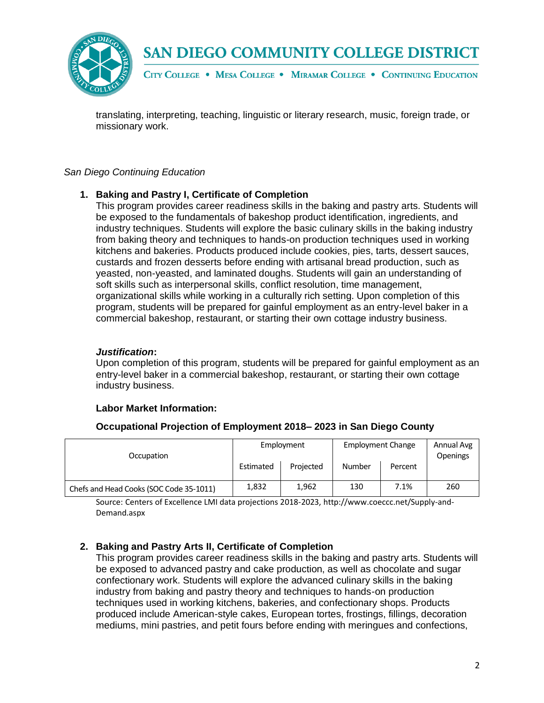

CITY COLLEGE . MESA COLLEGE . MIRAMAR COLLEGE . CONTINUING EDUCATION

translating, interpreting, teaching, linguistic or literary research, music, foreign trade, or missionary work.

## *San Diego Continuing Education*

## **1. Baking and Pastry I, Certificate of Completion**

This program provides career readiness skills in the baking and pastry arts. Students will be exposed to the fundamentals of bakeshop product identification, ingredients, and industry techniques. Students will explore the basic culinary skills in the baking industry from baking theory and techniques to hands-on production techniques used in working kitchens and bakeries. Products produced include cookies, pies, tarts, dessert sauces, custards and frozen desserts before ending with artisanal bread production, such as yeasted, non-yeasted, and laminated doughs. Students will gain an understanding of soft skills such as interpersonal skills, conflict resolution, time management, organizational skills while working in a culturally rich setting. Upon completion of this program, students will be prepared for gainful employment as an entry-level baker in a commercial bakeshop, restaurant, or starting their own cottage industry business.

## *Justification***:**

Upon completion of this program, students will be prepared for gainful employment as an entry-level baker in a commercial bakeshop, restaurant, or starting their own cottage industry business.

## **Labor Market Information:**

## **Occupational Projection of Employment 2018– 2023 in San Diego County**

| Occupation                              |           | Employment | <b>Employment Change</b> |         | Annual Avg<br><b>Openings</b> |
|-----------------------------------------|-----------|------------|--------------------------|---------|-------------------------------|
|                                         | Estimated | Projected  | Number                   | Percent |                               |
| Chefs and Head Cooks (SOC Code 35-1011) | 1,832     | 1,962      | 130                      | 7.1%    | 260                           |

Source: Centers of Excellence LMI data projections 2018-2023, http://www.coeccc.net/Supply-and-Demand.aspx

# **2. Baking and Pastry Arts II, Certificate of Completion**

This program provides career readiness skills in the baking and pastry arts. Students will be exposed to advanced pastry and cake production, as well as chocolate and sugar confectionary work. Students will explore the advanced culinary skills in the baking industry from baking and pastry theory and techniques to hands-on production techniques used in working kitchens, bakeries, and confectionary shops. Products produced include American-style cakes, European tortes, frostings, fillings, decoration mediums, mini pastries, and petit fours before ending with meringues and confections,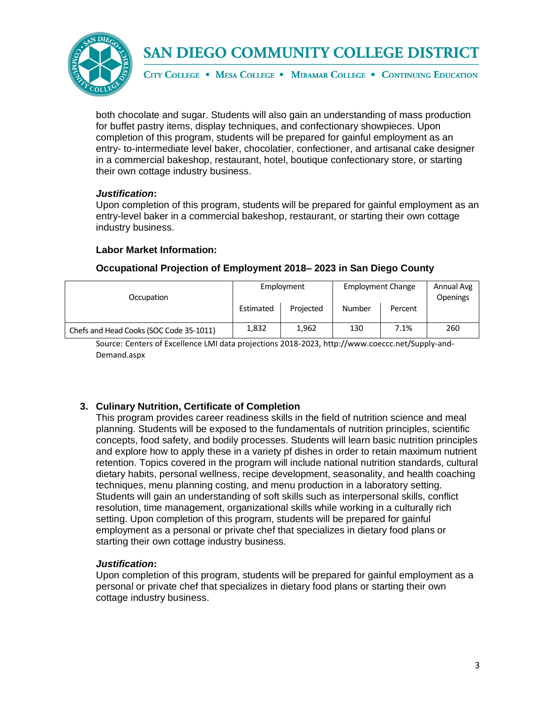

CITY COLLEGE . MESA COLLEGE . MIRAMAR COLLEGE . CONTINUING EDUCATION

both chocolate and sugar. Students will also gain an understanding of mass production for buffet pastry items, display techniques, and confectionary showpieces. Upon completion of this program, students will be prepared for gainful employment as an entry- to-intermediate level baker, chocolatier, confectioner, and artisanal cake designer in a commercial bakeshop, restaurant, hotel, boutique confectionary store, or starting their own cottage industry business.

# *Justification***:**

Upon completion of this program, students will be prepared for gainful employment as an entry-level baker in a commercial bakeshop, restaurant, or starting their own cottage industry business.

# **Labor Market Information:**

| Occupation                              |           | Employment | <b>Employment Change</b> |         | Annual Avg<br><b>Openings</b> |
|-----------------------------------------|-----------|------------|--------------------------|---------|-------------------------------|
|                                         | Estimated | Projected  | Number                   | Percent |                               |
| Chefs and Head Cooks (SOC Code 35-1011) | 1,832     | 1,962      | 130                      | 7.1%    | 260                           |

# **Occupational Projection of Employment 2018– 2023 in San Diego County**

Source: Centers of Excellence LMI data projections 2018-2023, http://www.coeccc.net/Supply-and-Demand.aspx

# **3. Culinary Nutrition, Certificate of Completion**

This program provides career readiness skills in the field of nutrition science and meal planning. Students will be exposed to the fundamentals of nutrition principles, scientific concepts, food safety, and bodily processes. Students will learn basic nutrition principles and explore how to apply these in a variety pf dishes in order to retain maximum nutrient retention. Topics covered in the program will include national nutrition standards, cultural dietary habits, personal wellness, recipe development, seasonality, and health coaching techniques, menu planning costing, and menu production in a laboratory setting. Students will gain an understanding of soft skills such as interpersonal skills, conflict resolution, time management, organizational skills while working in a culturally rich setting. Upon completion of this program, students will be prepared for gainful employment as a personal or private chef that specializes in dietary food plans or starting their own cottage industry business.

# *Justification***:**

Upon completion of this program, students will be prepared for gainful employment as a personal or private chef that specializes in dietary food plans or starting their own cottage industry business.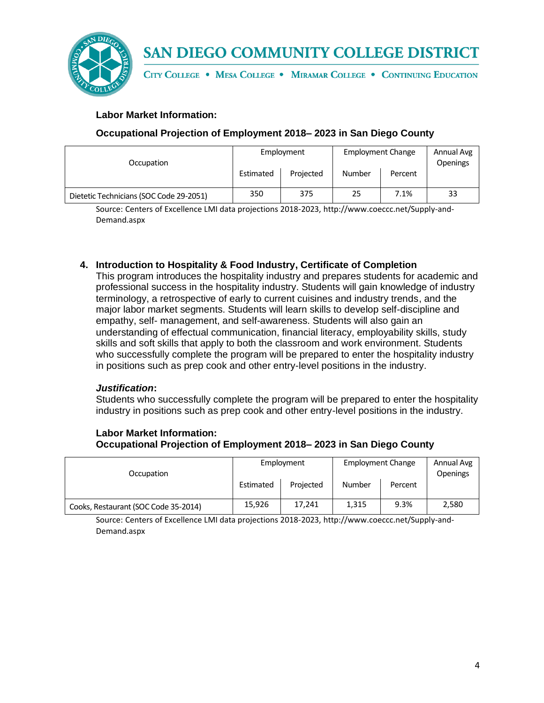

CITY COLLEGE . MESA COLLEGE . MIRAMAR COLLEGE . CONTINUING EDUCATION

# **Labor Market Information:**

# **Occupational Projection of Employment 2018– 2023 in San Diego County**

| Occupation                              |           | Employment | <b>Employment Change</b> |         | Annual Avg<br><b>Openings</b> |
|-----------------------------------------|-----------|------------|--------------------------|---------|-------------------------------|
|                                         | Estimated | Projected  | Number                   | Percent |                               |
| Dietetic Technicians (SOC Code 29-2051) | 350       | 375        | 25                       | 7.1%    | 33                            |

Source: Centers of Excellence LMI data projections 2018-2023, http://www.coeccc.net/Supply-and-Demand.aspx

# **4. Introduction to Hospitality & Food Industry, Certificate of Completion**

This program introduces the hospitality industry and prepares students for academic and professional success in the hospitality industry. Students will gain knowledge of industry terminology, a retrospective of early to current cuisines and industry trends, and the major labor market segments. Students will learn skills to develop self-discipline and empathy, self- management, and self-awareness. Students will also gain an understanding of effectual communication, financial literacy, employability skills, study skills and soft skills that apply to both the classroom and work environment. Students who successfully complete the program will be prepared to enter the hospitality industry in positions such as prep cook and other entry-level positions in the industry.

## *Justification***:**

Students who successfully complete the program will be prepared to enter the hospitality industry in positions such as prep cook and other entry-level positions in the industry.

## **Labor Market Information: Occupational Projection of Employment 2018– 2023 in San Diego County**

| Occupation                           |           | Employment | <b>Employment Change</b> |         | Annual Avg<br><b>Openings</b> |
|--------------------------------------|-----------|------------|--------------------------|---------|-------------------------------|
|                                      | Estimated | Projected  | Number                   | Percent |                               |
| Cooks, Restaurant (SOC Code 35-2014) | 15.926    | 17.241     | 1,315                    | 9.3%    | 2,580                         |

Source: Centers of Excellence LMI data projections 2018-2023, http://www.coeccc.net/Supply-and-Demand.aspx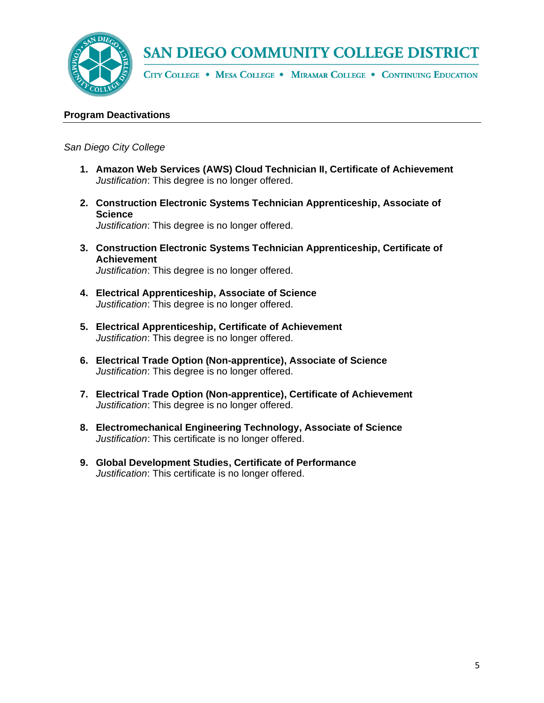

CITY COLLEGE . MESA COLLEGE . MIRAMAR COLLEGE . CONTINUING EDUCATION

## **Program Deactivations**

*San Diego City College*

- **1. Amazon Web Services (AWS) Cloud Technician II, Certificate of Achievement**  *Justification*: This degree is no longer offered.
- **2. Construction Electronic Systems Technician Apprenticeship, Associate of Science**

*Justification*: This degree is no longer offered.

- **3. Construction Electronic Systems Technician Apprenticeship, Certificate of Achievement**  *Justification*: This degree is no longer offered.
- **4. Electrical Apprenticeship, Associate of Science**  *Justification*: This degree is no longer offered.
- **5. Electrical Apprenticeship, Certificate of Achievement**  *Justification*: This degree is no longer offered.
- **6. Electrical Trade Option (Non-apprentice), Associate of Science**  *Justification*: This degree is no longer offered.
- **7. Electrical Trade Option (Non-apprentice), Certificate of Achievement**  *Justification*: This degree is no longer offered.
- **8. Electromechanical Engineering Technology, Associate of Science**  *Justification*: This certificate is no longer offered.
- **9. Global Development Studies, Certificate of Performance**  *Justification*: This certificate is no longer offered.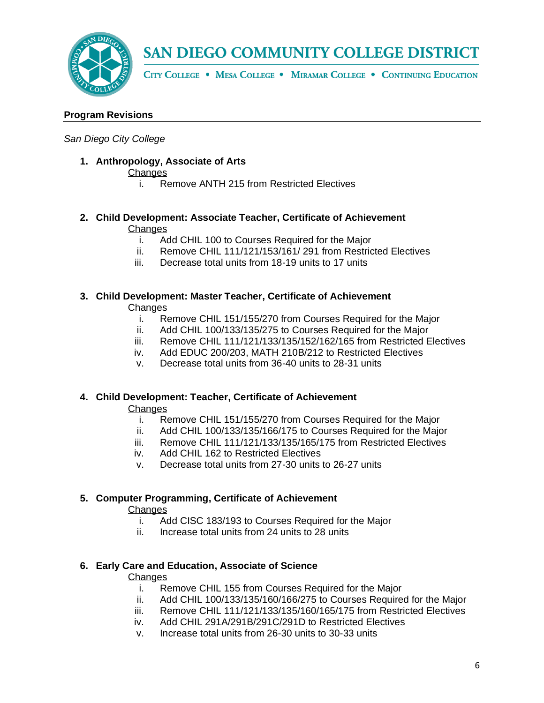

CITY COLLEGE . MESA COLLEGE . MIRAMAR COLLEGE . CONTINUING EDUCATION

# **Program Revisions**

## *San Diego City College*

**1. Anthropology, Associate of Arts** 

**Changes** 

- i. Remove ANTH 215 from Restricted Electives
- **2. Child Development: Associate Teacher, Certificate of Achievement**  Changes
	- i. Add CHIL 100 to Courses Required for the Major
	- ii. Remove CHIL 111/121/153/161/ 291 from Restricted Electives
	- iii. Decrease total units from 18-19 units to 17 units
- **3. Child Development: Master Teacher, Certificate of Achievement Changes** 
	- i. Remove CHIL 151/155/270 from Courses Required for the Major
	- ii. Add CHIL 100/133/135/275 to Courses Required for the Major
	- iii. Remove CHIL 111/121/133/135/152/162/165 from Restricted Electives
	- iv. Add EDUC 200/203, MATH 210B/212 to Restricted Electives
	- v. Decrease total units from 36-40 units to 28-31 units

#### **4. Child Development: Teacher, Certificate of Achievement Changes**

- i. Remove CHIL 151/155/270 from Courses Required for the Major
- ii. Add CHIL 100/133/135/166/175 to Courses Required for the Major
- iii. Remove CHIL 111/121/133/135/165/175 from Restricted Electives
- iv. Add CHIL 162 to Restricted Electives
- v. Decrease total units from 27-30 units to 26-27 units

# **5. Computer Programming, Certificate of Achievement**

## **Changes**

- i. Add CISC 183/193 to Courses Required for the Major
- ii. Increase total units from 24 units to 28 units

# **6. Early Care and Education, Associate of Science**

# **Changes**

- i. Remove CHIL 155 from Courses Required for the Major
- ii. Add CHIL 100/133/135/160/166/275 to Courses Required for the Major
- iii. Remove CHIL 111/121/133/135/160/165/175 from Restricted Electives
- iv. Add CHIL 291A/291B/291C/291D to Restricted Electives
- v. Increase total units from 26-30 units to 30-33 units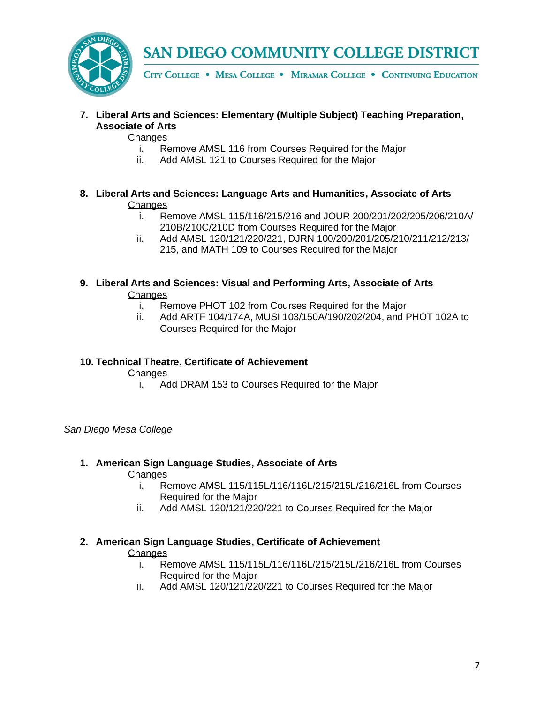

CITY COLLEGE . MESA COLLEGE . MIRAMAR COLLEGE . CONTINUING EDUCATION

**7. Liberal Arts and Sciences: Elementary (Multiple Subject) Teaching Preparation, Associate of Arts** 

# Changes

- i. Remove AMSL 116 from Courses Required for the Major
- ii. Add AMSL 121 to Courses Required for the Major
- **8. Liberal Arts and Sciences: Language Arts and Humanities, Associate of Arts**  Changes
	- i. Remove AMSL 115/116/215/216 and JOUR 200/201/202/205/206/210A/ 210B/210C/210D from Courses Required for the Major
	- ii. Add AMSL 120/121/220/221, DJRN 100/200/201/205/210/211/212/213/ 215, and MATH 109 to Courses Required for the Major
- **9. Liberal Arts and Sciences: Visual and Performing Arts, Associate of Arts Changes** 
	- i. Remove PHOT 102 from Courses Required for the Major
	- ii. Add ARTF 104/174A, MUSI 103/150A/190/202/204, and PHOT 102A to Courses Required for the Major

# **10. Technical Theatre, Certificate of Achievement**

# **Changes**

i. Add DRAM 153 to Courses Required for the Major

# *San Diego Mesa College*

# **1. American Sign Language Studies, Associate of Arts**

- **Changes** 
	- i. Remove AMSL 115/115L/116/116L/215/215L/216/216L from Courses Required for the Major
	- ii. Add AMSL 120/121/220/221 to Courses Required for the Major

#### **2. American Sign Language Studies, Certificate of Achievement Changes**

- i. Remove AMSL 115/115L/116/116L/215/215L/216/216L from Courses Required for the Major
- ii. Add AMSL 120/121/220/221 to Courses Required for the Major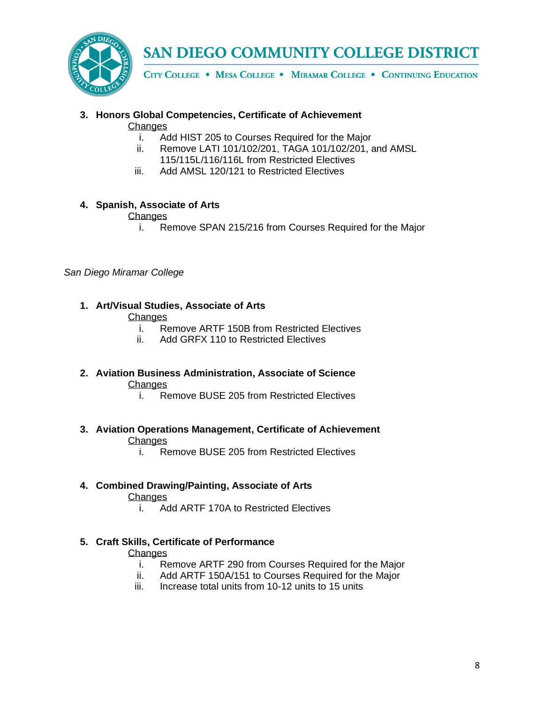

CITY COLLEGE . MESA COLLEGE . MIRAMAR COLLEGE . CONTINUING EDUCATION

#### **3. Honors Global Competencies, Certificate of Achievement Changes**

- i. Add HIST 205 to Courses Required for the Major
- ii. Remove LATI 101/102/201, TAGA 101/102/201, and AMSL
- 115/115L/116/116L from Restricted Electives
- iii. Add AMSL 120/121 to Restricted Electives

# **4. Spanish, Associate of Arts**

- **Changes** 
	- i. Remove SPAN 215/216 from Courses Required for the Major

*San Diego Miramar College*

# **1. Art/Visual Studies, Associate of Arts**

**Changes** 

- i. Remove ARTF 150B from Restricted Electives
- ii. Add GRFX 110 to Restricted Electives
- **2. Aviation Business Administration, Associate of Science Changes** 
	- i. Remove BUSE 205 from Restricted Electives
- **3. Aviation Operations Management, Certificate of Achievement Changes** 
	- i. Remove BUSE 205 from Restricted Electives

# **4. Combined Drawing/Painting, Associate of Arts**

# **Changes**

i. Add ARTF 170A to Restricted Electives

# **5. Craft Skills, Certificate of Performance**

# **Changes**

- i. Remove ARTF 290 from Courses Required for the Major
- ii. Add ARTF 150A/151 to Courses Required for the Major
- iii. Increase total units from 10-12 units to 15 units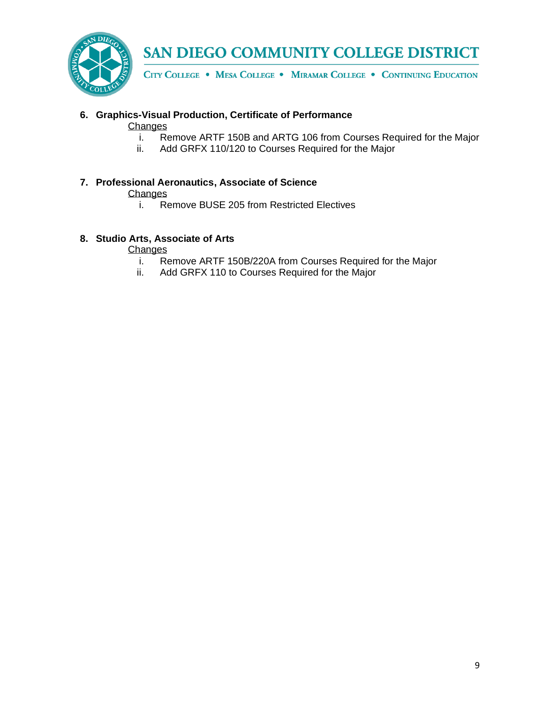

CITY COLLEGE . MESA COLLEGE . MIRAMAR COLLEGE . CONTINUING EDUCATION

# **6. Graphics-Visual Production, Certificate of Performance**

- Changes<br>i. Re Remove ARTF 150B and ARTG 106 from Courses Required for the Major
	- ii. Add GRFX 110/120 to Courses Required for the Major

# **7. Professional Aeronautics, Associate of Science**

# Changes

i. Remove BUSE 205 from Restricted Electives

# **8. Studio Arts, Associate of Arts**

# **Changes**

- i. Remove ARTF 150B/220A from Courses Required for the Major
- ii. Add GRFX 110 to Courses Required for the Major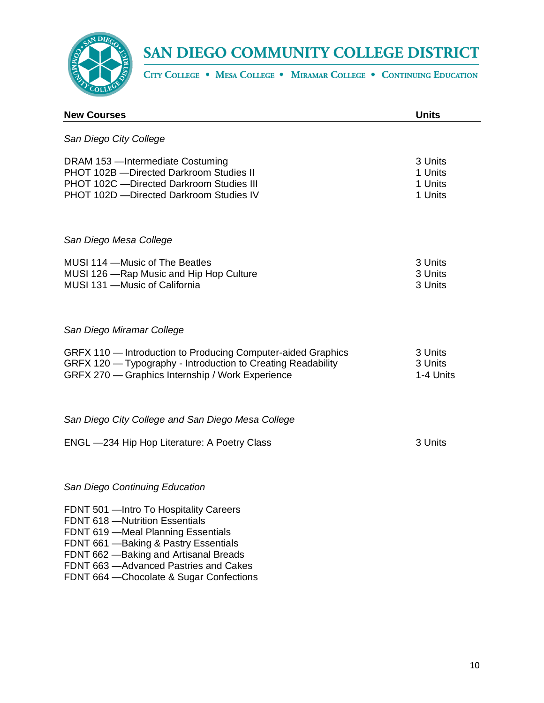

CITY COLLEGE . MESA COLLEGE . MIRAMAR COLLEGE . CONTINUING EDUCATION

| <b>New Courses</b>                                                                                                                                                                                                                                                                        | <b>Units</b>                             |
|-------------------------------------------------------------------------------------------------------------------------------------------------------------------------------------------------------------------------------------------------------------------------------------------|------------------------------------------|
| San Diego City College                                                                                                                                                                                                                                                                    |                                          |
| DRAM 153 - Intermediate Costuming<br>PHOT 102B - Directed Darkroom Studies II<br>PHOT 102C - Directed Darkroom Studies III<br>PHOT 102D - Directed Darkroom Studies IV                                                                                                                    | 3 Units<br>1 Units<br>1 Units<br>1 Units |
| San Diego Mesa College                                                                                                                                                                                                                                                                    |                                          |
| MUSI 114 - Music of The Beatles<br>MUSI 126 - Rap Music and Hip Hop Culture<br>MUSI 131 - Music of California                                                                                                                                                                             | 3 Units<br>3 Units<br>3 Units            |
| San Diego Miramar College                                                                                                                                                                                                                                                                 |                                          |
| GRFX 110 - Introduction to Producing Computer-aided Graphics<br>GRFX 120 - Typography - Introduction to Creating Readability<br>GRFX 270 - Graphics Internship / Work Experience                                                                                                          | 3 Units<br>3 Units<br>1-4 Units          |
| San Diego City College and San Diego Mesa College                                                                                                                                                                                                                                         |                                          |
| ENGL -234 Hip Hop Literature: A Poetry Class                                                                                                                                                                                                                                              | 3 Units                                  |
| San Diego Continuing Education                                                                                                                                                                                                                                                            |                                          |
| FDNT 501 - Intro To Hospitality Careers<br>FDNT 618 -Nutrition Essentials<br>FDNT 619 - Meal Planning Essentials<br>FDNT 661 - Baking & Pastry Essentials<br>FDNT 662 - Baking and Artisanal Breads<br>FDNT 663 - Advanced Pastries and Cakes<br>FDNT 664 - Chocolate & Sugar Confections |                                          |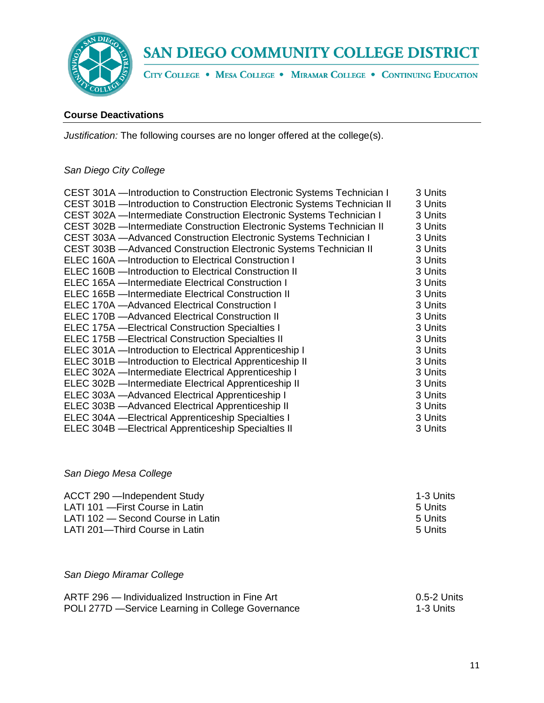

CITY COLLEGE . MESA COLLEGE . MIRAMAR COLLEGE . CONTINUING EDUCATION

# **Course Deactivations**

*Justification:* The following courses are no longer offered at the college(s).

# *San Diego City College*

| CEST 301A - Introduction to Construction Electronic Systems Technician I  | 3 Units |
|---------------------------------------------------------------------------|---------|
| CEST 301B - Introduction to Construction Electronic Systems Technician II | 3 Units |
| CEST 302A - Intermediate Construction Electronic Systems Technician I     | 3 Units |
| CEST 302B - Intermediate Construction Electronic Systems Technician II    | 3 Units |
| CEST 303A - Advanced Construction Electronic Systems Technician I         | 3 Units |
| CEST 303B - Advanced Construction Electronic Systems Technician II        | 3 Units |
| ELEC 160A - Introduction to Electrical Construction I                     | 3 Units |
| ELEC 160B - Introduction to Electrical Construction II                    | 3 Units |
| ELEC 165A - Intermediate Electrical Construction I                        | 3 Units |
| <b>ELEC 165B</b> - Intermediate Electrical Construction II                | 3 Units |
| ELEC 170A - Advanced Electrical Construction I                            | 3 Units |
| <b>ELEC 170B</b> - Advanced Electrical Construction II                    | 3 Units |
| ELEC 175A - Electrical Construction Specialties I                         | 3 Units |
| <b>ELEC 175B</b> - Electrical Construction Specialties II                 | 3 Units |
| ELEC 301A - Introduction to Electrical Apprenticeship I                   | 3 Units |
| ELEC 301B - Introduction to Electrical Apprenticeship II                  | 3 Units |
| ELEC 302A - Intermediate Electrical Apprenticeship I                      | 3 Units |
| ELEC 302B - Intermediate Electrical Apprenticeship II                     | 3 Units |
| ELEC 303A - Advanced Electrical Apprenticeship I                          | 3 Units |
| ELEC 303B - Advanced Electrical Apprenticeship II                         | 3 Units |
| ELEC 304A - Electrical Apprenticeship Specialties I                       | 3 Units |
| ELEC 304B - Electrical Apprenticeship Specialties II                      | 3 Units |

## *San Diego Mesa College*

| ACCT 290 - Independent Study      | 1-3 Units |
|-----------------------------------|-----------|
| LATI 101 — First Course in Latin  | .5 Units  |
| LATI 102 – Second Course in Latin | .5 Units  |
| LATI 201-Third Course in Latin    | 5 Units   |

*San Diego Miramar College*

| ARTF 296 – Individualized Instruction in Fine Art  | 0.5-2 Units |
|----------------------------------------------------|-------------|
| POLI 277D - Service Learning in College Governance | -1-3 Units  |